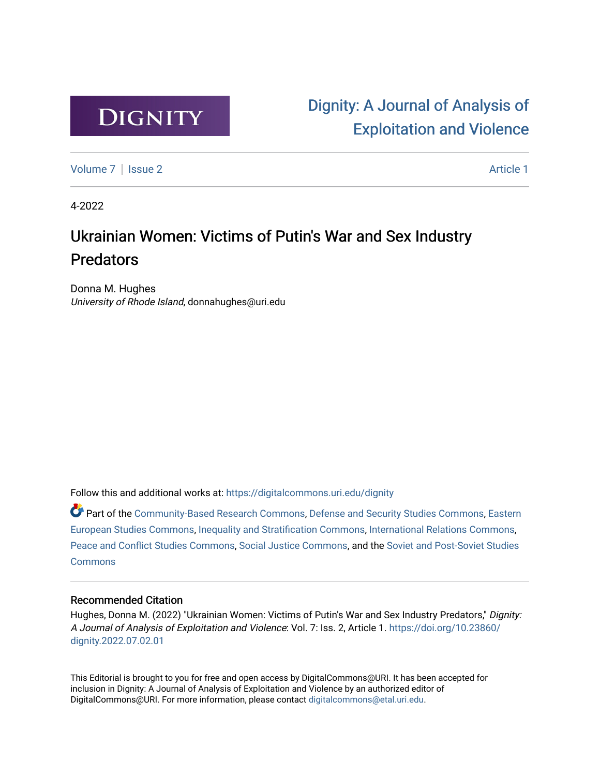

# [Dignity: A Journal of Analysis of](https://digitalcommons.uri.edu/dignity)  [Exploitation and Violence](https://digitalcommons.uri.edu/dignity)

[Volume 7](https://digitalcommons.uri.edu/dignity/vol7) | [Issue 2](https://digitalcommons.uri.edu/dignity/vol7/iss2) Article 1

4-2022

# Ukrainian Women: Victims of Putin's War and Sex Industry **Predators**

Donna M. Hughes University of Rhode Island, donnahughes@uri.edu

Follow this and additional works at: [https://digitalcommons.uri.edu/dignity](https://digitalcommons.uri.edu/dignity?utm_source=digitalcommons.uri.edu%2Fdignity%2Fvol7%2Fiss2%2F1&utm_medium=PDF&utm_campaign=PDFCoverPages) 

Part of the [Community-Based Research Commons](http://network.bepress.com/hgg/discipline/1047?utm_source=digitalcommons.uri.edu%2Fdignity%2Fvol7%2Fiss2%2F1&utm_medium=PDF&utm_campaign=PDFCoverPages), [Defense and Security Studies Commons,](http://network.bepress.com/hgg/discipline/394?utm_source=digitalcommons.uri.edu%2Fdignity%2Fvol7%2Fiss2%2F1&utm_medium=PDF&utm_campaign=PDFCoverPages) [Eastern](http://network.bepress.com/hgg/discipline/362?utm_source=digitalcommons.uri.edu%2Fdignity%2Fvol7%2Fiss2%2F1&utm_medium=PDF&utm_campaign=PDFCoverPages) [European Studies Commons](http://network.bepress.com/hgg/discipline/362?utm_source=digitalcommons.uri.edu%2Fdignity%2Fvol7%2Fiss2%2F1&utm_medium=PDF&utm_campaign=PDFCoverPages), [Inequality and Stratification Commons,](http://network.bepress.com/hgg/discipline/421?utm_source=digitalcommons.uri.edu%2Fdignity%2Fvol7%2Fiss2%2F1&utm_medium=PDF&utm_campaign=PDFCoverPages) [International Relations Commons](http://network.bepress.com/hgg/discipline/389?utm_source=digitalcommons.uri.edu%2Fdignity%2Fvol7%2Fiss2%2F1&utm_medium=PDF&utm_campaign=PDFCoverPages), [Peace and Conflict Studies Commons,](http://network.bepress.com/hgg/discipline/397?utm_source=digitalcommons.uri.edu%2Fdignity%2Fvol7%2Fiss2%2F1&utm_medium=PDF&utm_campaign=PDFCoverPages) [Social Justice Commons,](http://network.bepress.com/hgg/discipline/1432?utm_source=digitalcommons.uri.edu%2Fdignity%2Fvol7%2Fiss2%2F1&utm_medium=PDF&utm_campaign=PDFCoverPages) and the [Soviet and Post-Soviet Studies](http://network.bepress.com/hgg/discipline/364?utm_source=digitalcommons.uri.edu%2Fdignity%2Fvol7%2Fiss2%2F1&utm_medium=PDF&utm_campaign=PDFCoverPages)  **[Commons](http://network.bepress.com/hgg/discipline/364?utm_source=digitalcommons.uri.edu%2Fdignity%2Fvol7%2Fiss2%2F1&utm_medium=PDF&utm_campaign=PDFCoverPages)** 

## Recommended Citation

Hughes, Donna M. (2022) "Ukrainian Women: Victims of Putin's War and Sex Industry Predators," Dignity: A Journal of Analysis of Exploitation and Violence: Vol. 7: Iss. 2, Article 1. [https://doi.org/10.23860/](https://doi.org/10.23860/dignity.2022.07.02.01) [dignity.2022.07.02.01](https://doi.org/10.23860/dignity.2022.07.02.01) 

This Editorial is brought to you for free and open access by DigitalCommons@URI. It has been accepted for inclusion in Dignity: A Journal of Analysis of Exploitation and Violence by an authorized editor of DigitalCommons@URI. For more information, please contact [digitalcommons@etal.uri.edu.](mailto:digitalcommons@etal.uri.edu)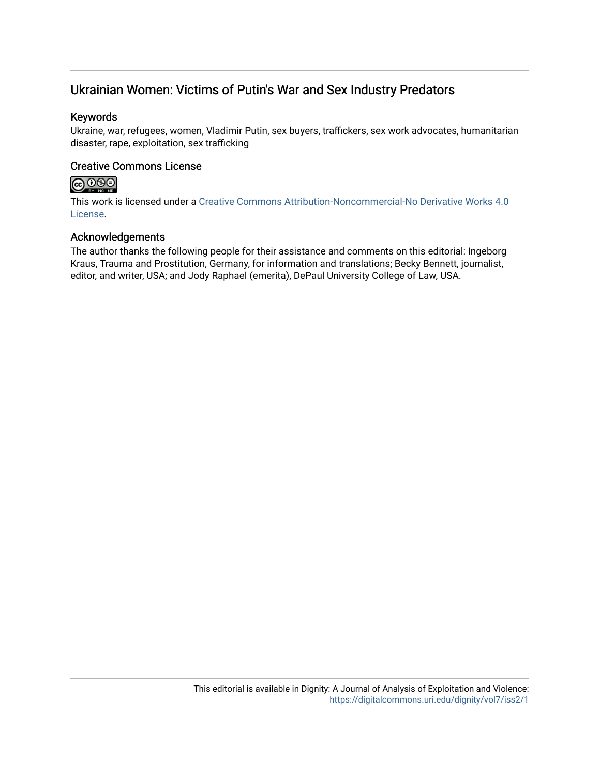# Ukrainian Women: Victims of Putin's War and Sex Industry Predators

# Keywords

Ukraine, war, refugees, women, Vladimir Putin, sex buyers, traffickers, sex work advocates, humanitarian disaster, rape, exploitation, sex trafficking

# Creative Commons License



This work is licensed under a [Creative Commons Attribution-Noncommercial-No Derivative Works 4.0](https://creativecommons.org/licenses/by-nc-nd/4.0/) [License](https://creativecommons.org/licenses/by-nc-nd/4.0/).

# Acknowledgements

The author thanks the following people for their assistance and comments on this editorial: Ingeborg Kraus, Trauma and Prostitution, Germany, for information and translations; Becky Bennett, journalist, editor, and writer, USA; and Jody Raphael (emerita), DePaul University College of Law, USA.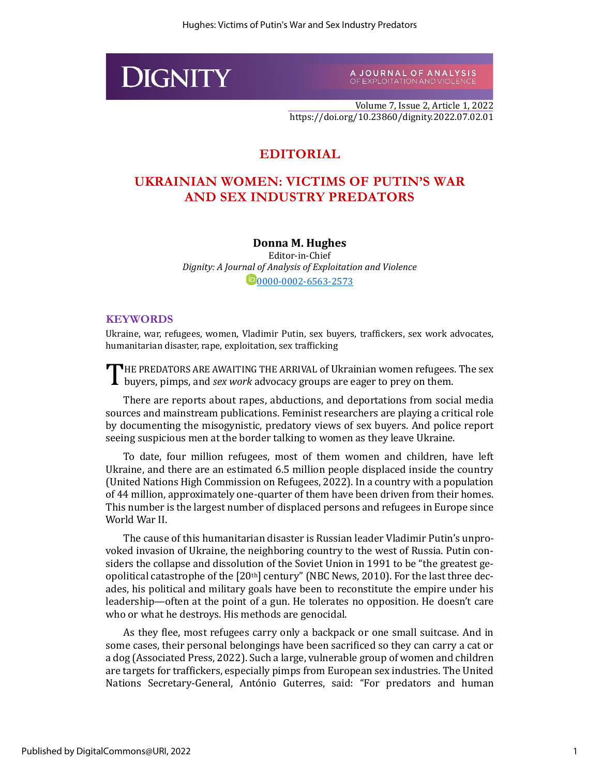

A JOURNAL OF ANALYSIS<br>OF EXPLOITATION AND VIOLENCE

Volume 7, Issue 2, Article 1, 2022 https://doi.org/10.23860/dignity.2022.07.02.01

# **EDITORIAL**

# **UKRAINIAN WOMEN: VICTIMS OF PUTIN'S WAR AND SEX INDUSTRY PREDATORS**

## **Donna M. Hughes**

Editor-in-Chief *Dignity: A Journal of Analysis of Exploitation and Violence* 0[0000-0002-6563-2573](https://orcid.org/0000-0002-6563-2573)

#### **KEYWORDS**

Ukraine, war, refugees, women, Vladimir Putin, sex buyers, traffickers, sex work advocates, humanitarian disaster, rape, exploitation, sex trafficking

THE PREDATORS ARE AWAITING THE ARRIVAL of Ukrainian women refugees. The sex buyers, pimps, and sex work advocacy groups are eager to prey on them. buyers, pimps, and *sex work* advocacy groups are eager to prey on them.

There are reports about rapes, abductions, and deportations from social media sources and mainstream publications. Feminist researchers are playing a critical role by documenting the misogynistic, predatory views of sex buyers. And police report seeing suspicious men at the border talking to women as they leave Ukraine.

To date, four million refugees, most of them women and children, have left Ukraine, and there are an estimated 6.5 million people displaced inside the country (United Nations High Commission on Refugees, 2022). In a country with a population of 44 million, approximately one-quarter of them have been driven from their homes. This number is the largest number of displaced persons and refugees in Europe since World War II.

The cause of this humanitarian disaster is Russian leader Vladimir Putin's unprovoked invasion of Ukraine, the neighboring country to the west of Russia. Putin considers the collapse and dissolution of the Soviet Union in 1991 to be "the greatest geopolitical catastrophe of the [20<sup>th</sup>] century" (NBC News, 2010). For the last three decades, his political and military goals have been to reconstitute the empire under his leadership—often at the point of a gun. He tolerates no opposition. He doesn't care who or what he destroys. His methods are genocidal.

As they flee, most refugees carry only a backpack or one small suitcase. And in some cases, their personal belongings have been sacrificed so they can carry a cat or a dog (Associated Press, 2022). Such a large, vulnerable group of women and children are targets for traffickers, especially pimps from European sex industries. The United Nations Secretary-General, António Guterres, said: "For predators and human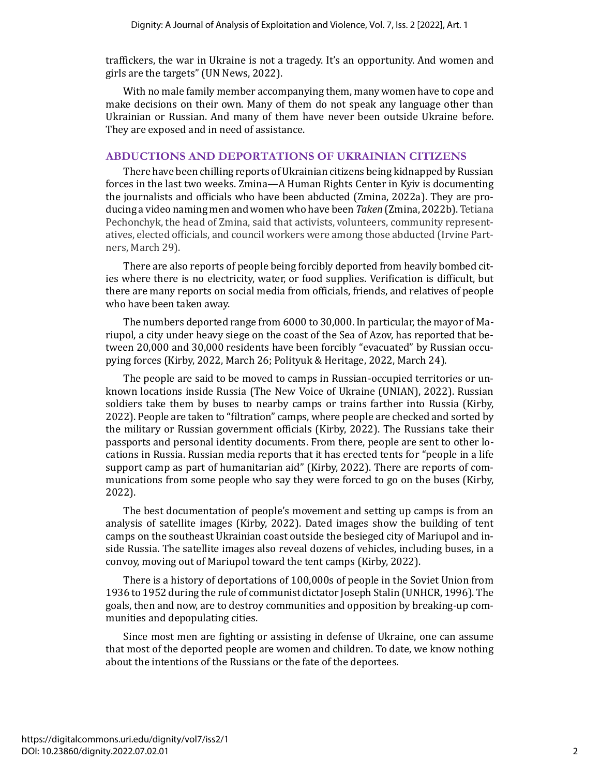traffickers, the war in Ukraine is not a tragedy. It's an opportunity. And women and girls are the targets" (UN News, 2022).

With no male family member accompanying them, many women have to cope and make decisions on their own. Many of them do not speak any language other than Ukrainian or Russian. And many of them have never been outside Ukraine before. They are exposed and in need of assistance.

## **ABDUCTIONS AND DEPORTATIONS OF UKRAINIAN CITIZENS**

There have been chilling reports of Ukrainian citizens being kidnapped by Russian forces in the last two weeks. Zmina—A Human Rights Center in Kyiv is documenting the journalists and officials who have been abducted (Zmina, 2022a). They are producing a video naming men and women who have been *Taken* (Zmina, 2022b). Tetiana Pechonchyk, the head of Zmina, said that activists, volunteers, community representatives, elected officials, and council workers were among those abducted (Irvine Partners, March 29).

There are also reports of people being forcibly deported from heavily bombed cities where there is no electricity, water, or food supplies. Verification is difficult, but there are many reports on social media from officials, friends, and relatives of people who have been taken away.

The numbers deported range from 6000 to 30,000. In particular, the mayor of Mariupol, a city under heavy siege on the coast of the Sea of Azov, has reported that between 20,000 and 30,000 residents have been forcibly "evacuated" by Russian occupying forces (Kirby, 2022, March 26; Polityuk & Heritage, 2022, March 24).

The people are said to be moved to camps in Russian-occupied territories or unknown locations inside Russia (The New Voice of Ukraine (UNIAN), 2022). Russian soldiers take them by buses to nearby camps or trains farther into Russia (Kirby, 2022). People are taken to "filtration" camps, where people are checked and sorted by the military or Russian government officials (Kirby, 2022). The Russians take their passports and personal identity documents. From there, people are sent to other locations in Russia. Russian media reports that it has erected tents for "people in a life support camp as part of humanitarian aid" (Kirby, 2022). There are reports of communications from some people who say they were forced to go on the buses (Kirby, 2022).

The best documentation of people's movement and setting up camps is from an analysis of satellite images (Kirby, 2022). Dated images show the building of tent camps on the southeast Ukrainian coast outside the besieged city of Mariupol and inside Russia. The satellite images also reveal dozens of vehicles, including buses, in a convoy, moving out of Mariupol toward the tent camps (Kirby, 2022).

There is a history of deportations of 100,000s of people in the Soviet Union from 1936 to 1952 during the rule of communist dictator Joseph Stalin (UNHCR, 1996). The goals, then and now, are to destroy communities and opposition by breaking-up communities and depopulating cities.

Since most men are fighting or assisting in defense of Ukraine, one can assume that most of the deported people are women and children. To date, we know nothing about the intentions of the Russians or the fate of the deportees.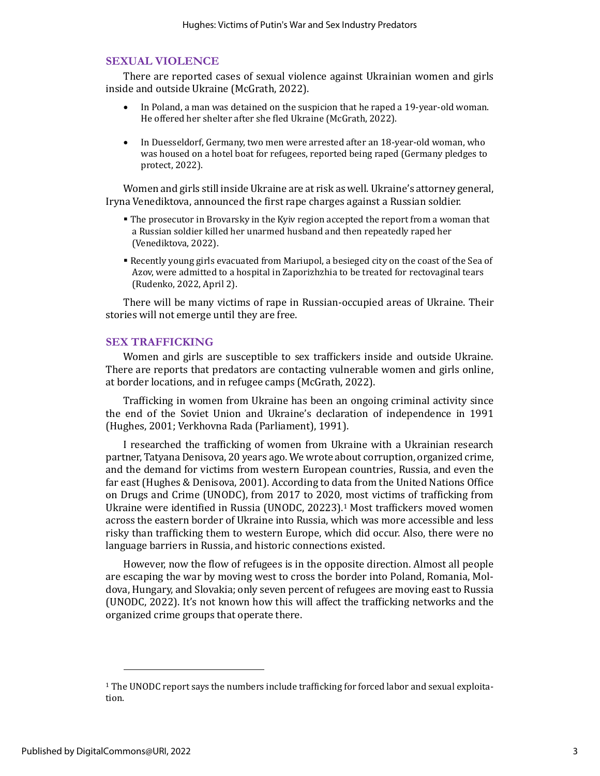### **SEXUAL VIOLENCE**

There are reported cases of sexual violence against Ukrainian women and girls inside and outside Ukraine (McGrath, 2022).

- In Poland, a man was detained on the suspicion that he raped a 19-year-old woman. He offered her shelter after she fled Ukraine (McGrath, 2022).
- In Duesseldorf, Germany, two men were arrested after an 18-year-old woman, who was housed on a hotel boat for refugees, reported being raped (Germany pledges to protect, 2022).

Women and girls still inside Ukraine are at risk as well. Ukraine's attorney general, Iryna Venediktova, announced the first rape charges against a Russian soldier.

- The prosecutor in Brovarsky in the Kyiv region accepted the report from a woman that a Russian soldier killed her unarmed husband and then repeatedly raped her (Venediktova, 2022).
- Recently young girls evacuated from Mariupol, a besieged city on the coast of the Sea of Azov, were admitted to a hospital in Zaporizhzhia to be treated for rectovaginal tears (Rudenko, 2022, April 2).

There will be many victims of rape in Russian-occupied areas of Ukraine. Their stories will not emerge until they are free.

#### **SEX TRAFFICKING**

Women and girls are susceptible to sex traffickers inside and outside Ukraine. There are reports that predators are contacting vulnerable women and girls online, at border locations, and in refugee camps (McGrath, 2022).

Trafficking in women from Ukraine has been an ongoing criminal activity since the end of the Soviet Union and Ukraine's declaration of independence in 1991 (Hughes, 2001; Verkhovna Rada (Parliament), 1991).

I researched the trafficking of women from Ukraine with a Ukrainian research partner, Tatyana Denisova, 20 years ago. We wrote about corruption, organized crime, and the demand for victims from western European countries, Russia, and even the far east (Hughes & Denisova, 2001). According to data from the United Nations Office on Drugs and Crime (UNODC), from 2017 to 2020, most victims of trafficking from Ukraine were identified in Russia (UNODC, 20223).<sup>1</sup> Most traffickers moved women across the eastern border of Ukraine into Russia, which was more accessible and less risky than trafficking them to western Europe, which did occur. Also, there were no language barriers in Russia, and historic connections existed.

However, now the flow of refugees is in the opposite direction. Almost all people are escaping the war by moving west to cross the border into Poland, Romania, Moldova, Hungary, and Slovakia; only seven percent of refugees are moving east to Russia (UNODC, 2022). It's not known how this will affect the trafficking networks and the organized crime groups that operate there.

<sup>&</sup>lt;sup>1</sup> The UNODC report says the numbers include trafficking for forced labor and sexual exploitation.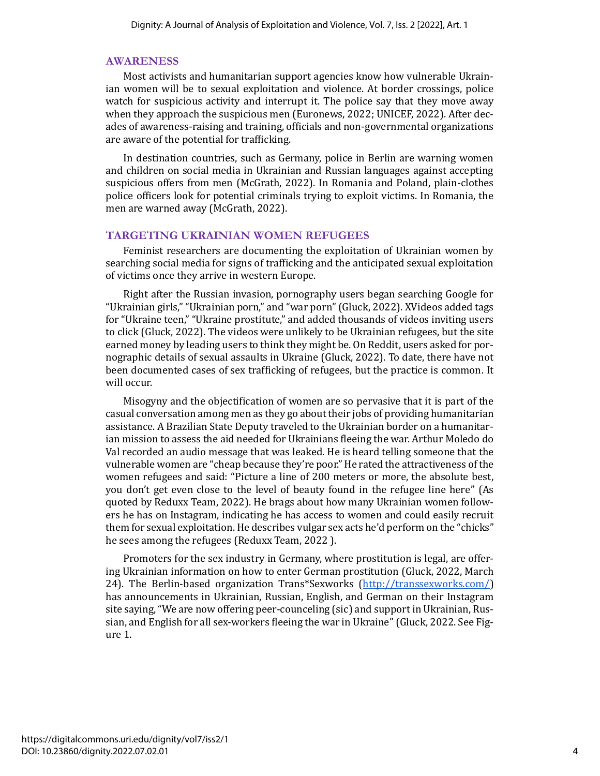#### **AWARENESS**

Most activists and humanitarian support agencies know how vulnerable Ukrainian women will be to sexual exploitation and violence. At border crossings, police watch for suspicious activity and interrupt it. The police say that they move away when they approach the suspicious men (Euronews, 2022; UNICEF, 2022). After decades of awareness-raising and training, officials and non-governmental organizations are aware of the potential for trafficking.

In destination countries, such as Germany, police in Berlin are warning women and children on social media in Ukrainian and Russian languages against accepting suspicious offers from men (McGrath, 2022). In Romania and Poland, plain-clothes police officers look for potential criminals trying to exploit victims. In Romania, the men are warned away (McGrath, 2022).

#### **TARGETING UKRAINIAN WOMEN REFUGEES**

Feminist researchers are documenting the exploitation of Ukrainian women by searching social media for signs of trafficking and the anticipated sexual exploitation of victims once they arrive in western Europe.

Right after the Russian invasion, pornography users began searching Google for "Ukrainian girls," "Ukrainian porn," and "war porn" (Gluck, 2022). XVideos added tags for "Ukraine teen," "Ukraine prostitute," and added thousands of videos inviting users to click (Gluck, 2022). The videos were unlikely to be Ukrainian refugees, but the site earned money by leading users to think they might be. On Reddit, users asked for pornographic details of sexual assaults in Ukraine (Gluck, 2022). To date, there have not been documented cases of sex trafficking of refugees, but the practice is common. It will occur.

Misogyny and the objectification of women are so pervasive that it is part of the casual conversation among men as they go about their jobs of providing humanitarian assistance. A Brazilian State Deputy traveled to the Ukrainian border on a humanitarian mission to assess the aid needed for Ukrainians fleeing the war. Arthur Moledo do Val recorded an audio message that was leaked. He is heard telling someone that the vulnerable women are "cheap because they're poor." He rated the attractiveness of the women refugees and said: "Picture a line of 200 meters or more, the absolute best, you don't get even close to the level of beauty found in the refugee line here" (As quoted by Reduxx Team, 2022). He brags about how many Ukrainian women followers he has on Instagram, indicating he has access to women and could easily recruit them for sexual exploitation. He describes vulgar sex acts he'd perform on the "chicks" he sees among the refugees (Reduxx Team, 2022 ).

Promoters for the sex industry in Germany, where prostitution is legal, are offering Ukrainian information on how to enter German prostitution (Gluck, 2022, March 24). The Berlin-based organization Trans\*Sexworks [\(http://transsexworks.com/\)](http://transsexworks.com/) has announcements in Ukrainian, Russian, English, and German on their Instagram site saying, "We are now offering peer-counceling (sic) and support in Ukrainian, Russian, and English for all sex-workers fleeing the war in Ukraine" (Gluck, 2022. See Figure 1.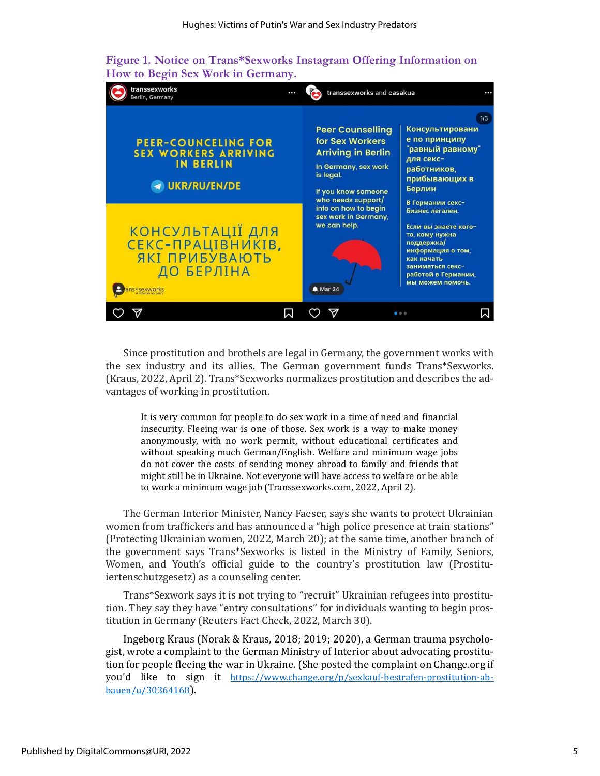



Since prostitution and brothels are legal in Germany, the government works with the sex industry and its allies. The German government funds Trans\*Sexworks. (Kraus, 2022, April 2). Trans\*Sexworks normalizes prostitution and describes the advantages of working in prostitution.

It is very common for people to do sex work in a time of need and financial insecurity. Fleeing war is one of those. Sex work is a way to make money anonymously, with no work permit, without educational certificates and without speaking much German/English. Welfare and minimum wage jobs do not cover the costs of sending money abroad to family and friends that might still be in Ukraine. Not everyone will have access to welfare or be able to work a minimum wage job (Transsexworks.com, 2022, April 2)*.*

The German Interior Minister, Nancy Faeser, says she wants to protect Ukrainian women from traffickers and has announced a "high police presence at train stations" (Protecting Ukrainian women, 2022, March 20); at the same time, another branch of the government says Trans\*Sexworks is listed in the Ministry of Family, Seniors, Women, and Youth's official guide to the country's prostitution law (Prostituiertenschutzgesetz) as a counseling center.

Trans\*Sexwork says it is not trying to "recruit" Ukrainian refugees into prostitution. They say they have "entry consultations" for individuals wanting to begin prostitution in Germany (Reuters Fact Check, 2022, March 30).

Ingeborg Kraus (Norak & Kraus, 2018; 2019; 2020), a German trauma psychologist, wrote a complaint to the German Ministry of Interior about advocating prostitution for people fleeing the war in Ukraine. (She posted the complaint on Change.org if you'd like to sign it [https://www.change.org/p/sexkauf-bestrafen-prostitution-ab](https://www.change.org/p/sexkauf-bestrafen-prostitution-abbauen/u/30364168)[bauen/u/30364168](https://www.change.org/p/sexkauf-bestrafen-prostitution-abbauen/u/30364168)).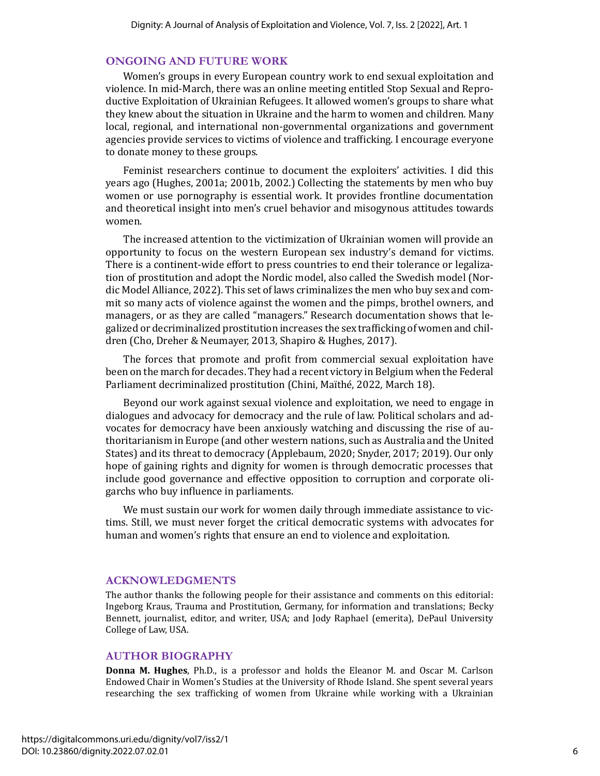#### **ONGOING AND FUTURE WORK**

Women's groups in every European country work to end sexual exploitation and violence. In mid-March, there was an online meeting entitled Stop Sexual and Reproductive Exploitation of Ukrainian Refugees. It allowed women's groups to share what they knew about the situation in Ukraine and the harm to women and children. Many local, regional, and international non-governmental organizations and government agencies provide services to victims of violence and trafficking. I encourage everyone to donate money to these groups.

Feminist researchers continue to document the exploiters' activities. I did this years ago (Hughes, 2001a; 2001b, 2002.) Collecting the statements by men who buy women or use pornography is essential work. It provides frontline documentation and theoretical insight into men's cruel behavior and misogynous attitudes towards women.

The increased attention to the victimization of Ukrainian women will provide an opportunity to focus on the western European sex industry's demand for victims. There is a continent-wide effort to press countries to end their tolerance or legalization of prostitution and adopt the Nordic model, also called the Swedish model (Nordic Model Alliance, 2022). This set of laws criminalizes the men who buy sex and commit so many acts of violence against the women and the pimps, brothel owners, and managers, or as they are called "managers." Research documentation shows that legalized or decriminalized prostitution increases the sex trafficking of women and children (Cho, Dreher & Neumayer, 2013, Shapiro & Hughes, 2017).

The forces that promote and profit from commercial sexual exploitation have been on the march for decades. They had a recent victory in Belgium when the Federal Parliament decriminalized prostitution (Chini, Maïthé, 2022, March 18).

Beyond our work against sexual violence and exploitation, we need to engage in dialogues and advocacy for democracy and the rule of law. Political scholars and advocates for democracy have been anxiously watching and discussing the rise of authoritarianism in Europe (and other western nations, such as Australia and the United States) and its threat to democracy (Applebaum, 2020; Snyder, 2017; 2019). Our only hope of gaining rights and dignity for women is through democratic processes that include good governance and effective opposition to corruption and corporate oligarchs who buy influence in parliaments.

We must sustain our work for women daily through immediate assistance to victims. Still, we must never forget the critical democratic systems with advocates for human and women's rights that ensure an end to violence and exploitation.

#### **ACKNOWLEDGMENTS**

The author thanks the following people for their assistance and comments on this editorial: Ingeborg Kraus, Trauma and Prostitution, Germany, for information and translations; Becky Bennett, journalist, editor, and writer, USA; and Jody Raphael (emerita), DePaul University College of Law, USA.

#### **AUTHOR BIOGRAPHY**

**Donna M. Hughes**, Ph.D., is a professor and holds the Eleanor M. and Oscar M. Carlson Endowed Chair in Women's Studies at the University of Rhode Island. She spent several years researching the sex trafficking of women from Ukraine while working with a Ukrainian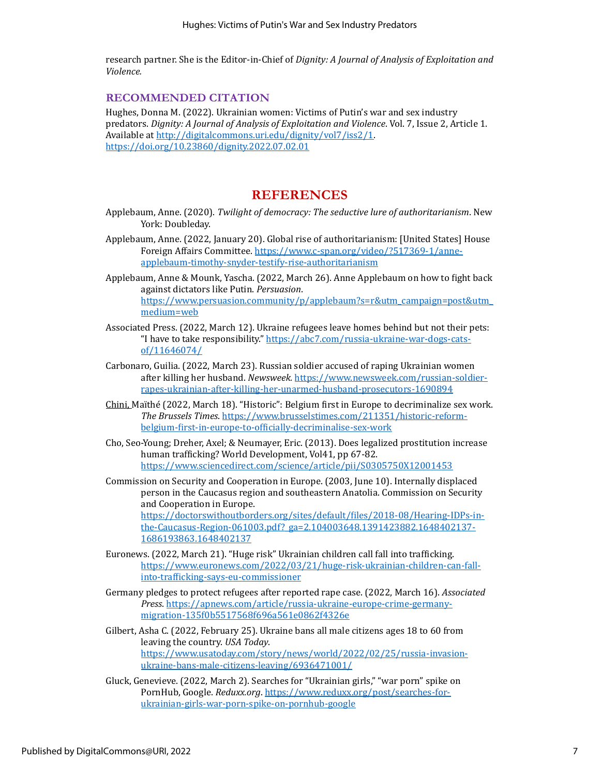research partner. She is the Editor-in-Chief of *Dignity: A Journal of Analysis of Exploitation and Violence.*

### **RECOMMENDED CITATION**

Hughes, Donna M. (2022). Ukrainian women: Victims of Putin's war and sex industry predators. *Dignity: A Journal of Analysis of Exploitation and Violence*. Vol. 7, Issue 2, Article 1. Available a[t http://digitalcommons.uri.edu/dignity/vol7/iss2/1.](http://digitalcommons.uri.edu/dignity/vol7/iss2/1) <https://doi.org/10.23860/dignity.2022.07.02.01>

# **REFERENCES**

- Applebaum, Anne. (2020). *Twilight of democracy: The seductive lure of authoritarianism*. New York: Doubleday.
- Applebaum, Anne. (2022, January 20). Global rise of authoritarianism: [United States] House Foreign Affairs Committee. [https://www.c-span.org/video/?517369-1/anne](https://www.c-span.org/video/?517369-1/anne-applebaum-timothy-snyder-testify-rise-authoritarianism)[applebaum-timothy-snyder-testify-rise-authoritarianism](https://www.c-span.org/video/?517369-1/anne-applebaum-timothy-snyder-testify-rise-authoritarianism)
- Applebaum, Anne & Mounk, Yascha. (2022, March 26). Anne Applebaum on how to fight back against dictators like Putin. *Persuasion*. [https://www.persuasion.community/p/applebaum?s=r&utm\\_campaign=post&utm\\_](https://www.persuasion.community/p/applebaum?s=r&utm_campaign=post&utm_medium=web) [medium=web](https://www.persuasion.community/p/applebaum?s=r&utm_campaign=post&utm_medium=web)
- Associated Press. (2022, March 12). Ukraine refugees leave homes behind but not their pets: "I have to take responsibility." [https://abc7.com/russia-ukraine-war-dogs-cats](https://abc7.com/russia-ukraine-war-dogs-cats-of/11646074/)[of/11646074/](https://abc7.com/russia-ukraine-war-dogs-cats-of/11646074/)
- Carbonaro, Guilia. (2022, March 23). Russian soldier accused of raping Ukrainian women after killing her husband. *Newsweek.* [https://www.newsweek.com/russian-soldier](https://www.newsweek.com/russian-soldier-rapes-ukrainian-after-killing-her-unarmed-husband-prosecutors-1690894)[rapes-ukrainian-after-killing-her-unarmed-husband-prosecutors-1690894](https://www.newsweek.com/russian-soldier-rapes-ukrainian-after-killing-her-unarmed-husband-prosecutors-1690894)
- Chini, Maïthé (2022, March 18). "Historic": Belgium first in Europe to decriminalize sex work. *The Brussels Times*. [https://www.brusselstimes.com/211351/historic-reform](https://www.brusselstimes.com/211351/historic-reform-belgium-first-in-europe-to-officially-decriminalise-sex-work)[belgium-first-in-europe-to-officially-decriminalise-sex-work](https://www.brusselstimes.com/211351/historic-reform-belgium-first-in-europe-to-officially-decriminalise-sex-work)
- Cho, Seo-Young; Dreher, Axel; & Neumayer, Eric. (2013). Does legalized prostitution increase human trafficking? World Development, Vol41, pp 67-82. <https://www.sciencedirect.com/science/article/pii/S0305750X12001453>

Commission on Security and Cooperation in Europe. (2003, June 10). Internally displaced person in the Caucasus region and southeastern Anatolia. Commission on Security and Cooperation in Europe. [https://doctorswithoutborders.org/sites/default/files/2018-08/Hearing-IDPs-in-](https://doctorswithoutborders.org/sites/default/files/2018-08/Hearing-IDPs-in-the-Caucasus-Region-061003.pdf?_ga=2.104003648.1391423882.1648402137-1686193863.1648402137)

[the-Caucasus-Region-061003.pdf?\\_ga=2.104003648.1391423882.1648402137-](https://doctorswithoutborders.org/sites/default/files/2018-08/Hearing-IDPs-in-the-Caucasus-Region-061003.pdf?_ga=2.104003648.1391423882.1648402137-1686193863.1648402137) [1686193863.1648402137](https://doctorswithoutborders.org/sites/default/files/2018-08/Hearing-IDPs-in-the-Caucasus-Region-061003.pdf?_ga=2.104003648.1391423882.1648402137-1686193863.1648402137)

- Euronews. (2022, March 21). "Huge risk" Ukrainian children call fall into trafficking. [https://www.euronews.com/2022/03/21/huge-risk-ukrainian-children-can-fall](https://www.euronews.com/2022/03/21/huge-risk-ukrainian-children-can-fall-into-trafficking-says-eu-commissioner)[into-trafficking-says-eu-commissioner](https://www.euronews.com/2022/03/21/huge-risk-ukrainian-children-can-fall-into-trafficking-says-eu-commissioner)
- Germany pledges to protect refugees after reported rape case. (2022, March 16). *Associated Press*. [https://apnews.com/article/russia-ukraine-europe-crime-germany](https://apnews.com/article/russia-ukraine-europe-crime-germany-migration-135f0b5517568f696a561e0862f4326e)[migration-135f0b5517568f696a561e0862f4326e](https://apnews.com/article/russia-ukraine-europe-crime-germany-migration-135f0b5517568f696a561e0862f4326e)
- Gilbert, Asha C. (2022, February 25). Ukraine bans all male citizens ages 18 to 60 from leaving the country. *USA Today*. [https://www.usatoday.com/story/news/world/2022/02/25/russia-invasion](https://www.usatoday.com/story/news/world/2022/02/25/russia-invasion-ukraine-bans-male-citizens-leaving/6936471001/)[ukraine-bans-male-citizens-leaving/6936471001/](https://www.usatoday.com/story/news/world/2022/02/25/russia-invasion-ukraine-bans-male-citizens-leaving/6936471001/)
- Gluck, Genevieve. (2022, March 2). Searches for "Ukrainian girls," "war porn" spike on PornHub, Google. *Reduxx.org*[. https://www.reduxx.org/post/searches-for](https://www.reduxx.org/post/searches-for-ukrainian-girls-war-porn-spike-on-pornhub-google)[ukrainian-girls-war-porn-spike-on-pornhub-google](https://www.reduxx.org/post/searches-for-ukrainian-girls-war-porn-spike-on-pornhub-google)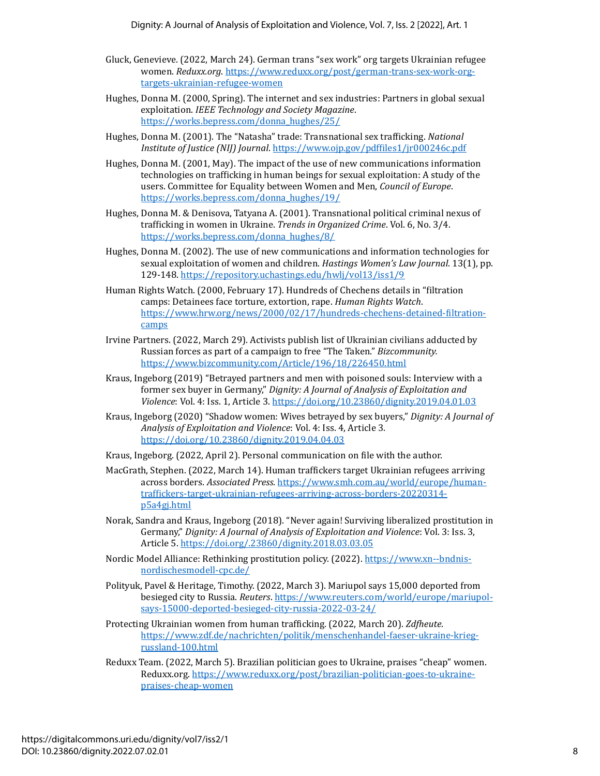- Gluck, Genevieve. (2022, March 24). German trans "sex work" org targets Ukrainian refugee women. *Reduxx.org*. [https://www.reduxx.org/post/german-trans-sex-work-org](https://www.reduxx.org/post/german-trans-sex-work-org-targets-ukrainian-refugee-women)[targets-ukrainian-refugee-women](https://www.reduxx.org/post/german-trans-sex-work-org-targets-ukrainian-refugee-women)
- Hughes, Donna M. (2000, Spring). The internet and sex industries: Partners in global sexual exploitation. *IEEE Technology and Society Magazine*. [https://works.bepress.com/donna\\_hughes/25/](https://works.bepress.com/donna_hughes/25/)
- Hughes, Donna M. (2001). The "Natasha" trade: Transnational sex trafficking. *National Institute of Justice (NIJ) Journal*[. https://www.ojp.gov/pdffiles1/jr000246c.pdf](https://www.ojp.gov/pdffiles1/jr000246c.pdf)
- Hughes, Donna M. (2001, May). The impact of the use of new communications information technologies on trafficking in human beings for sexual exploitation: A study of the users. Committee for Equality between Women and Men, *Council of Europe*. [https://works.bepress.com/donna\\_hughes/19/](https://works.bepress.com/donna_hughes/19/)
- Hughes, Donna M. & Denisova, Tatyana A. (2001). Transnational political criminal nexus of trafficking in women in Ukraine. *Trends in Organized Crime*. Vol. 6, No. 3/4. [https://works.bepress.com/donna\\_hughes/8/](https://works.bepress.com/donna_hughes/8/)
- Hughes, Donna M. (2002). The use of new communications and information technologies for sexual exploitation of women and children. *Hastings Women's Law Journal*. 13(1), pp. 129-148.<https://repository.uchastings.edu/hwlj/vol13/iss1/9>
- Human Rights Watch. (2000, February 17). Hundreds of Chechens details in "filtration camps: Detainees face torture, extortion, rape. *Human Rights Watch*. [https://www.hrw.org/news/2000/02/17/hundreds-chechens-detained-filtration](https://www.hrw.org/news/2000/02/17/hundreds-chechens-detained-filtration-camps)[camps](https://www.hrw.org/news/2000/02/17/hundreds-chechens-detained-filtration-camps)
- Irvine Partners. (2022, March 29). Activists publish list of Ukrainian civilians adducted by Russian forces as part of a campaign to free "The Taken." *Bizcommunity.* <https://www.bizcommunity.com/Article/196/18/226450.html>
- Kraus, Ingeborg (2019) "Betrayed partners and men with poisoned souls: Interview with a former sex buyer in Germany," *Dignity: A Journal of Analysis of Exploitation and Violence*: Vol. 4: Iss. 1, Article 3. <https://doi.org/10.23860/dignity.2019.04.01.03>
- Kraus, Ingeborg (2020) "Shadow women: Wives betrayed by sex buyers," *Dignity: A Journal of Analysis of Exploitation and Violence*: Vol. 4: Iss. 4, Article 3. <https://doi.org/10.23860/dignity.2019.04.04.03>
- Kraus, Ingeborg. (2022, April 2). Personal communication on file with the author.
- MacGrath, Stephen. (2022, March 14). Human traffickers target Ukrainian refugees arriving across borders. *Associated Press*[. https://www.smh.com.au/world/europe/human](https://www.smh.com.au/world/europe/human-traffickers-target-ukrainian-refugees-arriving-across-borders-20220314-p5a4gj.html)[traffickers-target-ukrainian-refugees-arriving-across-borders-20220314](https://www.smh.com.au/world/europe/human-traffickers-target-ukrainian-refugees-arriving-across-borders-20220314-p5a4gj.html) [p5a4gj.html](https://www.smh.com.au/world/europe/human-traffickers-target-ukrainian-refugees-arriving-across-borders-20220314-p5a4gj.html)
- Norak, Sandra and Kraus, Ingeborg (2018). "Never again! Surviving liberalized prostitution in Germany," *Dignity: A Journal of Analysis of Exploitation and Violence*: Vol. 3: Iss. 3, Article 5. <https://doi.org/.23860/dignity.2018.03.03.05>
- Nordic Model Alliance: Rethinking prostitution policy. (2022)[. https://www.xn--bndnis](https://www.bündnis-nordischesmodell.de/)[nordischesmodell-cpc.de/](https://www.bündnis-nordischesmodell.de/)
- Polityuk, Pavel & Heritage, Timothy. (2022, March 3). Mariupol says 15,000 deported from besieged city to Russia. *Reuters*[. https://www.reuters.com/world/europe/mariupol](https://www.reuters.com/world/europe/mariupol-says-15000-deported-besieged-city-russia-2022-03-24/)[says-15000-deported-besieged-city-russia-2022-03-24/](https://www.reuters.com/world/europe/mariupol-says-15000-deported-besieged-city-russia-2022-03-24/)
- Protecting Ukrainian women from human trafficking. (2022, March 20). *Zdfheute*. [https://www.zdf.de/nachrichten/politik/menschenhandel-faeser-ukraine-krieg](https://www.zdf.de/nachrichten/politik/menschenhandel-faeser-ukraine-krieg-russland-100.html)[russland-100.html](https://www.zdf.de/nachrichten/politik/menschenhandel-faeser-ukraine-krieg-russland-100.html)
- Reduxx Team. (2022, March 5). Brazilian politician goes to Ukraine, praises "cheap" women. Reduxx.org. [https://www.reduxx.org/post/brazilian-politician-goes-to-ukraine](https://www.reduxx.org/post/brazilian-politician-goes-to-ukraine-praises-cheap-women)[praises-cheap-women](https://www.reduxx.org/post/brazilian-politician-goes-to-ukraine-praises-cheap-women)